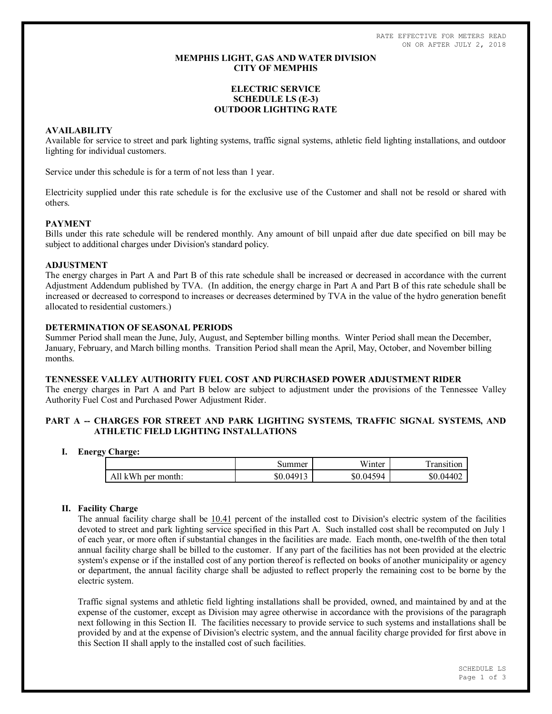RATE EFFECTIVE FOR METERS READ ON OR AFTER JULY 2, 2018

### **MEMPHIS LIGHT, GAS AND WATER DIVISION CITY OF MEMPHIS**

# **ELECTRIC SERVICE SCHEDULE LS (E-3) OUTDOOR LIGHTING RATE**

## **AVAILABILITY**

Available for service to street and park lighting systems, traffic signal systems, athletic field lighting installations, and outdoor lighting for individual customers.

Service under this schedule is for a term of not less than 1 year.

Electricity supplied under this rate schedule is for the exclusive use of the Customer and shall not be resold or shared with others.

### **PAYMENT**

Bills under this rate schedule will be rendered monthly. Any amount of bill unpaid after due date specified on bill may be subject to additional charges under Division's standard policy.

#### **ADJUSTMENT**

The energy charges in Part A and Part B of this rate schedule shall be increased or decreased in accordance with the current Adjustment Addendum published by TVA. (In addition, the energy charge in Part A and Part B of this rate schedule shall be increased or decreased to correspond to increases or decreases determined by TVA in the value of the hydro generation benefit allocated to residential customers.)

# **DETERMINATION OF SEASONAL PERIODS**

Summer Period shall mean the June, July, August, and September billing months. Winter Period shall mean the December, January, February, and March billing months. Transition Period shall mean the April, May, October, and November billing months.

#### **TENNESSEE VALLEY AUTHORITY FUEL COST AND PURCHASED POWER ADJUSTMENT RIDER**

The energy charges in Part A and Part B below are subject to adjustment under the provisions of the Tennessee Valley Authority Fuel Cost and Purchased Power Adjustment Rider.

## **PART A -- CHARGES FOR STREET AND PARK LIGHTING SYSTEMS, TRAFFIC SIGNAL SYSTEMS, AND ATHLETIC FIELD LIGHTING INSTALLATIONS**

#### **I. Energy Charge:**

|                    | Summer    | Winter    | l ransıtıon |
|--------------------|-----------|-----------|-------------|
| All kWh per month: | \$0.04913 | \$0.04594 | \$0.04402   |

## **II. Facility Charge**

The annual facility charge shall be 10.41 percent of the installed cost to Division's electric system of the facilities devoted to street and park lighting service specified in this Part A. Such installed cost shall be recomputed on July 1 of each year, or more often if substantial changes in the facilities are made. Each month, one-twelfth of the then total annual facility charge shall be billed to the customer. If any part of the facilities has not been provided at the electric system's expense or if the installed cost of any portion thereof is reflected on books of another municipality or agency or department, the annual facility charge shall be adjusted to reflect properly the remaining cost to be borne by the electric system.

Traffic signal systems and athletic field lighting installations shall be provided, owned, and maintained by and at the expense of the customer, except as Division may agree otherwise in accordance with the provisions of the paragraph next following in this Section II. The facilities necessary to provide service to such systems and installations shall be provided by and at the expense of Division's electric system, and the annual facility charge provided for first above in this Section II shall apply to the installed cost of such facilities.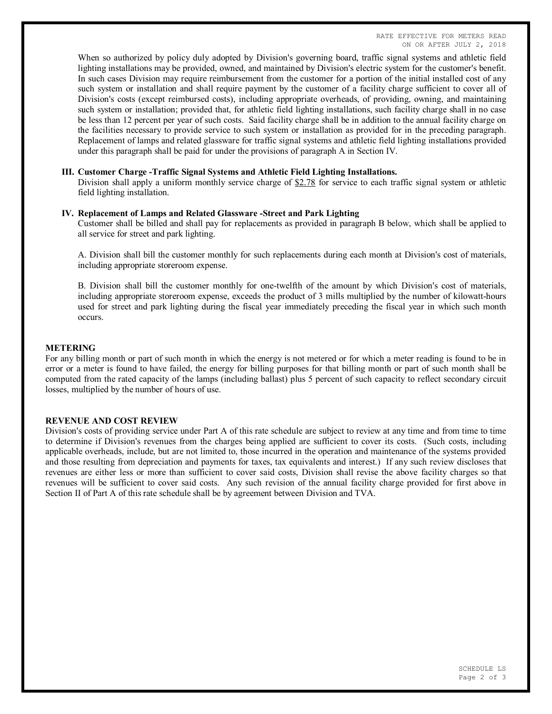When so authorized by policy duly adopted by Division's governing board, traffic signal systems and athletic field lighting installations may be provided, owned, and maintained by Division's electric system for the customer's benefit. In such cases Division may require reimbursement from the customer for a portion of the initial installed cost of any such system or installation and shall require payment by the customer of a facility charge sufficient to cover all of Division's costs (except reimbursed costs), including appropriate overheads, of providing, owning, and maintaining such system or installation; provided that, for athletic field lighting installations, such facility charge shall in no case be less than 12 percent per year of such costs. Said facility charge shall be in addition to the annual facility charge on the facilities necessary to provide service to such system or installation as provided for in the preceding paragraph. Replacement of lamps and related glassware for traffic signal systems and athletic field lighting installations provided under this paragraph shall be paid for under the provisions of paragraph A in Section IV.

#### **III. Customer Charge -Traffic Signal Systems and Athletic Field Lighting Installations.**

Division shall apply a uniform monthly service charge of  $$2.78$  for service to each traffic signal system or athletic field lighting installation.

### **IV. Replacement of Lamps and Related Glassware -Street and Park Lighting**

Customer shall be billed and shall pay for replacements as provided in paragraph B below, which shall be applied to all service for street and park lighting.

A. Division shall bill the customer monthly for such replacements during each month at Division's cost of materials, including appropriate storeroom expense.

B. Division shall bill the customer monthly for one-twelfth of the amount by which Division's cost of materials, including appropriate storeroom expense, exceeds the product of 3 mills multiplied by the number of kilowatt-hours used for street and park lighting during the fiscal year immediately preceding the fiscal year in which such month occurs.

### **METERING**

For any billing month or part of such month in which the energy is not metered or for which a meter reading is found to be in error or a meter is found to have failed, the energy for billing purposes for that billing month or part of such month shall be computed from the rated capacity of the lamps (including ballast) plus 5 percent of such capacity to reflect secondary circuit losses, multiplied by the number of hours of use.

#### **REVENUE AND COST REVIEW**

Division's costs of providing service under Part A of this rate schedule are subject to review at any time and from time to time to determine if Division's revenues from the charges being applied are sufficient to cover its costs. (Such costs, including applicable overheads, include, but are not limited to, those incurred in the operation and maintenance of the systems provided and those resulting from depreciation and payments for taxes, tax equivalents and interest.) If any such review discloses that revenues are either less or more than sufficient to cover said costs, Division shall revise the above facility charges so that revenues will be sufficient to cover said costs. Any such revision of the annual facility charge provided for first above in Section II of Part A of this rate schedule shall be by agreement between Division and TVA.